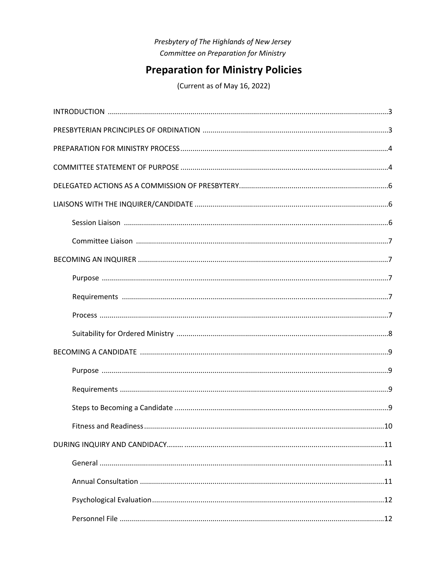# Presbytery of The Highlands of New Jersey Committee on Preparation for Ministry

# **Preparation for Ministry Policies**

(Current as of May 16, 2022)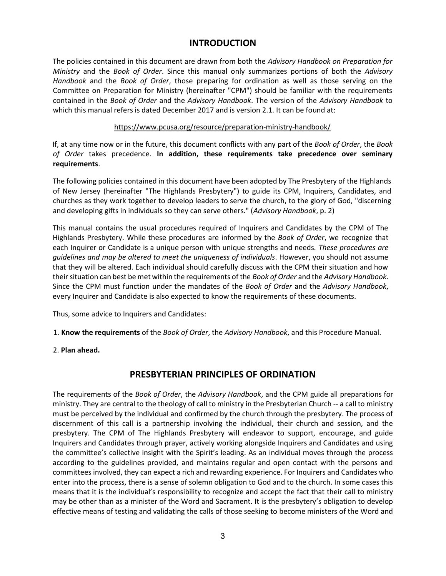# INTRODUCTION

The policies contained in this document are drawn from both the Advisory Handbook on Preparation for Ministry and the Book of Order. Since this manual only summarizes portions of both the Advisory Handbook and the Book of Order, those preparing for ordination as well as those serving on the Committee on Preparation for Ministry (hereinafter "CPM") should be familiar with the requirements contained in the Book of Order and the Advisory Handbook. The version of the Advisory Handbook to which this manual refers is dated December 2017 and is version 2.1. It can be found at:

#### https://www.pcusa.org/resource/preparation-ministry-handbook/

If, at any time now or in the future, this document conflicts with any part of the Book of Order, the Book of Order takes precedence. In addition, these requirements take precedence over seminary requirements.

The following policies contained in this document have been adopted by The Presbytery of the Highlands of New Jersey (hereinafter "The Highlands Presbytery") to guide its CPM, Inquirers, Candidates, and churches as they work together to develop leaders to serve the church, to the glory of God, "discerning and developing gifts in individuals so they can serve others." (Advisory Handbook, p. 2)

This manual contains the usual procedures required of Inquirers and Candidates by the CPM of The Highlands Presbytery. While these procedures are informed by the *Book of Order*, we recognize that each Inquirer or Candidate is a unique person with unique strengths and needs. These procedures are guidelines and may be altered to meet the uniqueness of individuals. However, you should not assume that they will be altered. Each individual should carefully discuss with the CPM their situation and how their situation can best be met within the requirements of the Book of Order and the Advisory Handbook. Since the CPM must function under the mandates of the Book of Order and the Advisory Handbook, every Inquirer and Candidate is also expected to know the requirements of these documents.

Thus, some advice to Inquirers and Candidates:

1. Know the requirements of the Book of Order, the Advisory Handbook, and this Procedure Manual.

2. Plan ahead.

# PRESBYTERIAN PRINCIPLES OF ORDINATION

The requirements of the Book of Order, the Advisory Handbook, and the CPM guide all preparations for ministry. They are central to the theology of call to ministry in the Presbyterian Church -- a call to ministry must be perceived by the individual and confirmed by the church through the presbytery. The process of discernment of this call is a partnership involving the individual, their church and session, and the presbytery. The CPM of The Highlands Presbytery will endeavor to support, encourage, and guide Inquirers and Candidates through prayer, actively working alongside Inquirers and Candidates and using the committee's collective insight with the Spirit's leading. As an individual moves through the process according to the guidelines provided, and maintains regular and open contact with the persons and committees involved, they can expect a rich and rewarding experience. For Inquirers and Candidates who enter into the process, there is a sense of solemn obligation to God and to the church. In some cases this means that it is the individual's responsibility to recognize and accept the fact that their call to ministry may be other than as a minister of the Word and Sacrament. It is the presbytery's obligation to develop effective means of testing and validating the calls of those seeking to become ministers of the Word and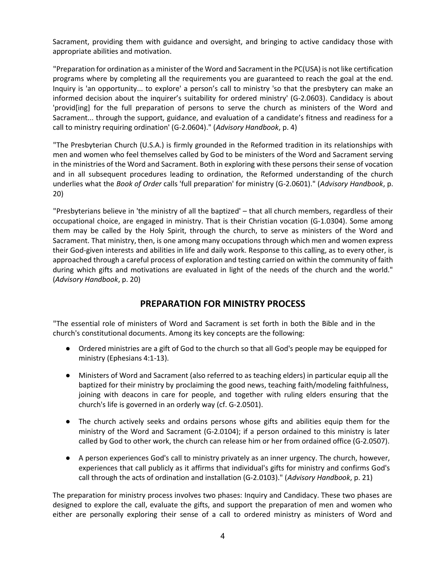Sacrament, providing them with guidance and oversight, and bringing to active candidacy those with appropriate abilities and motivation.

"Preparation for ordination as a minister of the Word and Sacrament in the PC(USA) is not like certification programs where by completing all the requirements you are guaranteed to reach the goal at the end. Inquiry is 'an opportunity... to explore' a person's call to ministry 'so that the presbytery can make an informed decision about the inquirer's suitability for ordered ministry' (G-2.0603). Candidacy is about 'provid[ing] for the full preparation of persons to serve the church as ministers of the Word and Sacrament... through the support, guidance, and evaluation of a candidate's fitness and readiness for a call to ministry requiring ordination' (G-2.0604)." (Advisory Handbook, p. 4)

"The Presbyterian Church (U.S.A.) is firmly grounded in the Reformed tradition in its relationships with men and women who feel themselves called by God to be ministers of the Word and Sacrament serving in the ministries of the Word and Sacrament. Both in exploring with these persons their sense of vocation and in all subsequent procedures leading to ordination, the Reformed understanding of the church underlies what the Book of Order calls 'full preparation' for ministry (G-2.0601)." (Advisory Handbook, p. 20)

"Presbyterians believe in 'the ministry of all the baptized' – that all church members, regardless of their occupational choice, are engaged in ministry. That is their Christian vocation (G-1.0304). Some among them may be called by the Holy Spirit, through the church, to serve as ministers of the Word and Sacrament. That ministry, then, is one among many occupations through which men and women express their God-given interests and abilities in life and daily work. Response to this calling, as to every other, is approached through a careful process of exploration and testing carried on within the community of faith during which gifts and motivations are evaluated in light of the needs of the church and the world." (Advisory Handbook, p. 20)

# PREPARATION FOR MINISTRY PROCESS

"The essential role of ministers of Word and Sacrament is set forth in both the Bible and in the church's constitutional documents. Among its key concepts are the following:

- Ordered ministries are a gift of God to the church so that all God's people may be equipped for ministry (Ephesians 4:1-13).
- Ministers of Word and Sacrament (also referred to as teaching elders) in particular equip all the baptized for their ministry by proclaiming the good news, teaching faith/modeling faithfulness, joining with deacons in care for people, and together with ruling elders ensuring that the church's life is governed in an orderly way (cf. G-2.0501).
- The church actively seeks and ordains persons whose gifts and abilities equip them for the ministry of the Word and Sacrament (G-2.0104); if a person ordained to this ministry is later called by God to other work, the church can release him or her from ordained office (G-2.0507).
- A person experiences God's call to ministry privately as an inner urgency. The church, however, experiences that call publicly as it affirms that individual's gifts for ministry and confirms God's call through the acts of ordination and installation (G-2.0103)." (Advisory Handbook, p. 21)

The preparation for ministry process involves two phases: Inquiry and Candidacy. These two phases are designed to explore the call, evaluate the gifts, and support the preparation of men and women who either are personally exploring their sense of a call to ordered ministry as ministers of Word and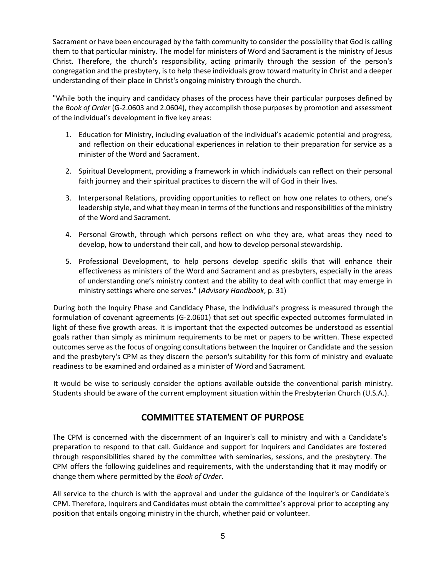Sacrament or have been encouraged by the faith community to consider the possibility that God is calling them to that particular ministry. The model for ministers of Word and Sacrament is the ministry of Jesus Christ. Therefore, the church's responsibility, acting primarily through the session of the person's congregation and the presbytery, is to help these individuals grow toward maturity in Christ and a deeper understanding of their place in Christ's ongoing ministry through the church.

"While both the inquiry and candidacy phases of the process have their particular purposes defined by the Book of Order (G-2.0603 and 2.0604), they accomplish those purposes by promotion and assessment of the individual's development in five key areas:

- 1. Education for Ministry, including evaluation of the individual's academic potential and progress, and reflection on their educational experiences in relation to their preparation for service as a minister of the Word and Sacrament.
- 2. Spiritual Development, providing a framework in which individuals can reflect on their personal faith journey and their spiritual practices to discern the will of God in their lives.
- 3. Interpersonal Relations, providing opportunities to reflect on how one relates to others, one's leadership style, and what they mean in terms of the functions and responsibilities of the ministry of the Word and Sacrament.
- 4. Personal Growth, through which persons reflect on who they are, what areas they need to develop, how to understand their call, and how to develop personal stewardship.
- 5. Professional Development, to help persons develop specific skills that will enhance their effectiveness as ministers of the Word and Sacrament and as presbyters, especially in the areas of understanding one's ministry context and the ability to deal with conflict that may emerge in ministry settings where one serves." (Advisory Handbook, p. 31)

During both the Inquiry Phase and Candidacy Phase, the individual's progress is measured through the formulation of covenant agreements (G-2.0601) that set out specific expected outcomes formulated in light of these five growth areas. It is important that the expected outcomes be understood as essential goals rather than simply as minimum requirements to be met or papers to be written. These expected outcomes serve as the focus of ongoing consultations between the Inquirer or Candidate and the session and the presbytery's CPM as they discern the person's suitability for this form of ministry and evaluate readiness to be examined and ordained as a minister of Word and Sacrament.

It would be wise to seriously consider the options available outside the conventional parish ministry. Students should be aware of the current employment situation within the Presbyterian Church (U.S.A.).

# COMMITTEE STATEMENT OF PURPOSE

The CPM is concerned with the discernment of an Inquirer's call to ministry and with a Candidate's preparation to respond to that call. Guidance and support for Inquirers and Candidates are fostered through responsibilities shared by the committee with seminaries, sessions, and the presbytery. The CPM offers the following guidelines and requirements, with the understanding that it may modify or change them where permitted by the Book of Order.

All service to the church is with the approval and under the guidance of the Inquirer's or Candidate's CPM. Therefore, Inquirers and Candidates must obtain the committee's approval prior to accepting any position that entails ongoing ministry in the church, whether paid or volunteer.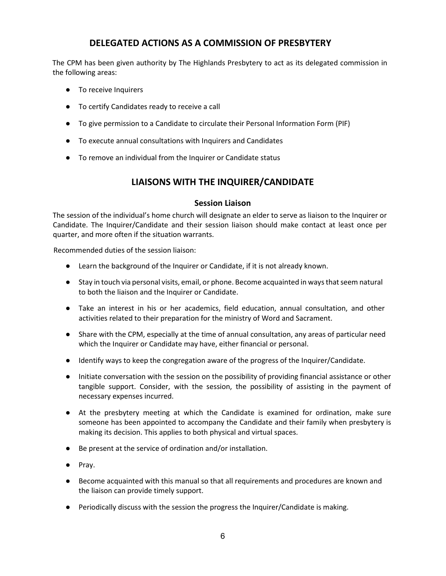# DELEGATED ACTIONS AS A COMMISSION OF PRESBYTERY

The CPM has been given authority by The Highlands Presbytery to act as its delegated commission in the following areas:

- To receive Inquirers
- To certify Candidates ready to receive a call
- To give permission to a Candidate to circulate their Personal Information Form (PIF)
- To execute annual consultations with Inquirers and Candidates
- To remove an individual from the Inquirer or Candidate status

# LIAISONS WITH THE INQUIRER/CANDIDATE

### Session Liaison

The session of the individual's home church will designate an elder to serve as liaison to the Inquirer or Candidate. The Inquirer/Candidate and their session liaison should make contact at least once per quarter, and more often if the situation warrants.

Recommended duties of the session liaison:

- Learn the background of the Inquirer or Candidate, if it is not already known.
- Stay in touch via personal visits, email, or phone. Become acquainted in ways that seem natural to both the liaison and the Inquirer or Candidate.
- Take an interest in his or her academics, field education, annual consultation, and other activities related to their preparation for the ministry of Word and Sacrament.
- Share with the CPM, especially at the time of annual consultation, any areas of particular need which the Inquirer or Candidate may have, either financial or personal.
- Identify ways to keep the congregation aware of the progress of the Inquirer/Candidate.
- Initiate conversation with the session on the possibility of providing financial assistance or other tangible support. Consider, with the session, the possibility of assisting in the payment of necessary expenses incurred.
- At the presbytery meeting at which the Candidate is examined for ordination, make sure someone has been appointed to accompany the Candidate and their family when presbytery is making its decision. This applies to both physical and virtual spaces.
- Be present at the service of ordination and/or installation.
- Pray.
- Become acquainted with this manual so that all requirements and procedures are known and the liaison can provide timely support.
- Periodically discuss with the session the progress the Inquirer/Candidate is making.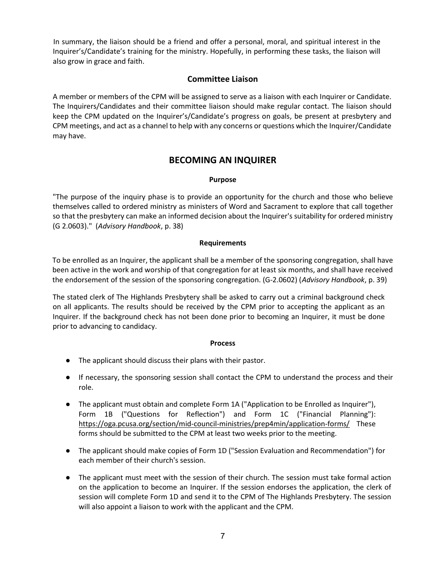In summary, the liaison should be a friend and offer a personal, moral, and spiritual interest in the Inquirer's/Candidate's training for the ministry. Hopefully, in performing these tasks, the liaison will also grow in grace and faith.

### Committee Liaison

A member or members of the CPM will be assigned to serve as a liaison with each Inquirer or Candidate. The Inquirers/Candidates and their committee liaison should make regular contact. The liaison should keep the CPM updated on the Inquirer's/Candidate's progress on goals, be present at presbytery and CPM meetings, and act as a channel to help with any concerns or questions which the Inquirer/Candidate may have.

# BECOMING AN INQUIRER

#### Purpose

"The purpose of the inquiry phase is to provide an opportunity for the church and those who believe themselves called to ordered ministry as ministers of Word and Sacrament to explore that call together so that the presbytery can make an informed decision about the Inquirer's suitability for ordered ministry (G 2.0603)." (Advisory Handbook, p. 38)

#### Requirements

To be enrolled as an Inquirer, the applicant shall be a member of the sponsoring congregation, shall have been active in the work and worship of that congregation for at least six months, and shall have received the endorsement of the session of the sponsoring congregation. (G-2.0602) (Advisory Handbook, p. 39)

The stated clerk of The Highlands Presbytery shall be asked to carry out a criminal background check on all applicants. The results should be received by the CPM prior to accepting the applicant as an Inquirer. If the background check has not been done prior to becoming an Inquirer, it must be done prior to advancing to candidacy.

#### **Process**

- The applicant should discuss their plans with their pastor.
- If necessary, the sponsoring session shall contact the CPM to understand the process and their role.
- The applicant must obtain and complete Form 1A ("Application to be Enrolled as Inquirer"), Form 1B ("Questions for Reflection") and Form 1C ("Financial Planning"): https://oga.pcusa.org/section/mid-council-ministries/prep4min/application-forms/ These forms should be submitted to the CPM at least two weeks prior to the meeting.
- The applicant should make copies of Form 1D ("Session Evaluation and Recommendation") for each member of their church's session.
- The applicant must meet with the session of their church. The session must take formal action on the application to become an Inquirer. If the session endorses the application, the clerk of session will complete Form 1D and send it to the CPM of The Highlands Presbytery. The session will also appoint a liaison to work with the applicant and the CPM.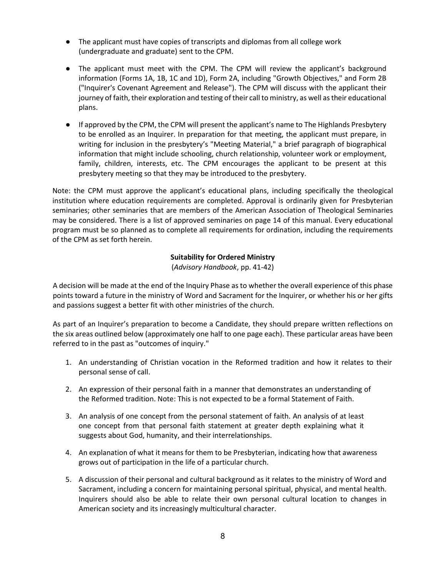- The applicant must have copies of transcripts and diplomas from all college work (undergraduate and graduate) sent to the CPM.
- The applicant must meet with the CPM. The CPM will review the applicant's background information (Forms 1A, 1B, 1C and 1D), Form 2A, including "Growth Objectives," and Form 2B ("Inquirer's Covenant Agreement and Release"). The CPM will discuss with the applicant their journey of faith, their exploration and testing of their call to ministry, as well as their educational plans.
- If approved by the CPM, the CPM will present the applicant's name to The Highlands Presbytery to be enrolled as an Inquirer. In preparation for that meeting, the applicant must prepare, in writing for inclusion in the presbytery's "Meeting Material," a brief paragraph of biographical information that might include schooling, church relationship, volunteer work or employment, family, children, interests, etc. The CPM encourages the applicant to be present at this presbytery meeting so that they may be introduced to the presbytery.

Note: the CPM must approve the applicant's educational plans, including specifically the theological institution where education requirements are completed. Approval is ordinarily given for Presbyterian seminaries; other seminaries that are members of the American Association of Theological Seminaries may be considered. There is a list of approved seminaries on page 14 of this manual. Every educational program must be so planned as to complete all requirements for ordination, including the requirements of the CPM as set forth herein.

#### Suitability for Ordered Ministry

(Advisory Handbook, pp. 41-42)

A decision will be made at the end of the Inquiry Phase as to whether the overall experience of this phase points toward a future in the ministry of Word and Sacrament for the Inquirer, or whether his or her gifts and passions suggest a better fit with other ministries of the church.

As part of an Inquirer's preparation to become a Candidate, they should prepare written reflections on the six areas outlined below (approximately one half to one page each). These particular areas have been referred to in the past as "outcomes of inquiry."

- 1. An understanding of Christian vocation in the Reformed tradition and how it relates to their personal sense of call.
- 2. An expression of their personal faith in a manner that demonstrates an understanding of the Reformed tradition. Note: This is not expected to be a formal Statement of Faith.
- 3. An analysis of one concept from the personal statement of faith. An analysis of at least one concept from that personal faith statement at greater depth explaining what it suggests about God, humanity, and their interrelationships.
- 4. An explanation of what it means for them to be Presbyterian, indicating how that awareness grows out of participation in the life of a particular church.
- 5. A discussion of their personal and cultural background as it relates to the ministry of Word and Sacrament, including a concern for maintaining personal spiritual, physical, and mental health. Inquirers should also be able to relate their own personal cultural location to changes in American society and its increasingly multicultural character.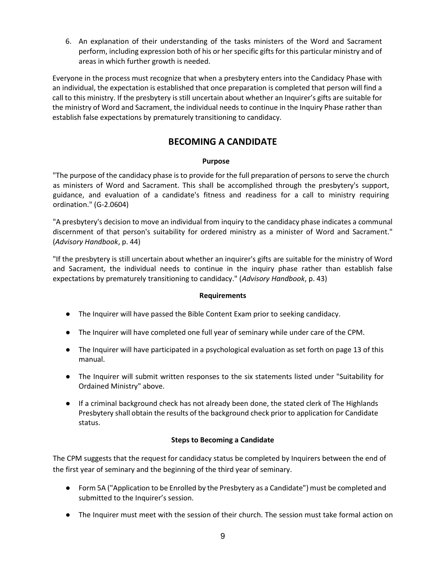6. An explanation of their understanding of the tasks ministers of the Word and Sacrament perform, including expression both of his or her specific gifts for this particular ministry and of areas in which further growth is needed.

Everyone in the process must recognize that when a presbytery enters into the Candidacy Phase with an individual, the expectation is established that once preparation is completed that person will find a call to this ministry. If the presbytery is still uncertain about whether an Inquirer's gifts are suitable for the ministry of Word and Sacrament, the individual needs to continue in the Inquiry Phase rather than establish false expectations by prematurely transitioning to candidacy.

# BECOMING A CANDIDATE

#### Purpose

"The purpose of the candidacy phase is to provide for the full preparation of persons to serve the church as ministers of Word and Sacrament. This shall be accomplished through the presbytery's support, guidance, and evaluation of a candidate's fitness and readiness for a call to ministry requiring ordination." (G-2.0604)

"A presbytery's decision to move an individual from inquiry to the candidacy phase indicates a communal discernment of that person's suitability for ordered ministry as a minister of Word and Sacrament." (Advisory Handbook, p. 44)

"If the presbytery is still uncertain about whether an inquirer's gifts are suitable for the ministry of Word and Sacrament, the individual needs to continue in the inquiry phase rather than establish false expectations by prematurely transitioning to candidacy." (Advisory Handbook, p. 43)

#### Requirements

- The Inquirer will have passed the Bible Content Exam prior to seeking candidacy.
- The Inquirer will have completed one full year of seminary while under care of the CPM.
- The Inquirer will have participated in a psychological evaluation as set forth on page 13 of this manual.
- The Inquirer will submit written responses to the six statements listed under "Suitability for Ordained Ministry" above.
- If a criminal background check has not already been done, the stated clerk of The Highlands Presbytery shall obtain the results of the background check prior to application for Candidate status.

#### Steps to Becoming a Candidate

The CPM suggests that the request for candidacy status be completed by Inquirers between the end of the first year of seminary and the beginning of the third year of seminary.

- Form 5A ("Application to be Enrolled by the Presbytery as a Candidate") must be completed and submitted to the Inquirer's session.
- The Inquirer must meet with the session of their church. The session must take formal action on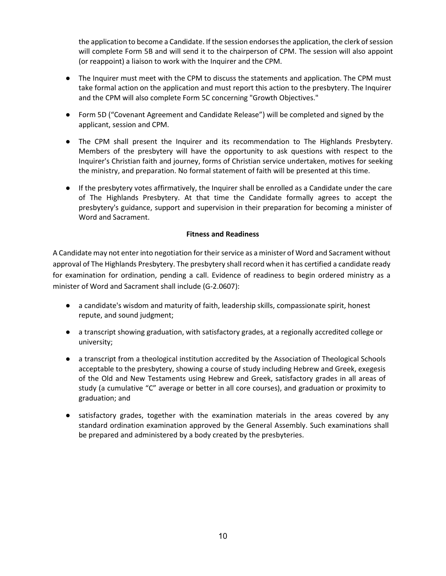the application to become a Candidate. If the session endorses the application, the clerk of session will complete Form 5B and will send it to the chairperson of CPM. The session will also appoint (or reappoint) a liaison to work with the Inquirer and the CPM.

- The Inquirer must meet with the CPM to discuss the statements and application. The CPM must take formal action on the application and must report this action to the presbytery. The Inquirer and the CPM will also complete Form 5C concerning "Growth Objectives."
- Form 5D ("Covenant Agreement and Candidate Release") will be completed and signed by the applicant, session and CPM.
- The CPM shall present the Inquirer and its recommendation to The Highlands Presbytery. Members of the presbytery will have the opportunity to ask questions with respect to the Inquirer's Christian faith and journey, forms of Christian service undertaken, motives for seeking the ministry, and preparation. No formal statement of faith will be presented at this time.
- If the presbytery votes affirmatively, the Inquirer shall be enrolled as a Candidate under the care of The Highlands Presbytery. At that time the Candidate formally agrees to accept the presbytery's guidance, support and supervision in their preparation for becoming a minister of Word and Sacrament.

#### Fitness and Readiness

A Candidate may not enter into negotiation for their service as a minister of Word and Sacrament without approval of The Highlands Presbytery. The presbytery shall record when it has certified a candidate ready for examination for ordination, pending a call. Evidence of readiness to begin ordered ministry as a minister of Word and Sacrament shall include (G-2.0607):

- a candidate's wisdom and maturity of faith, leadership skills, compassionate spirit, honest repute, and sound judgment;
- a transcript showing graduation, with satisfactory grades, at a regionally accredited college or university;
- a transcript from a theological institution accredited by the Association of Theological Schools acceptable to the presbytery, showing a course of study including Hebrew and Greek, exegesis of the Old and New Testaments using Hebrew and Greek, satisfactory grades in all areas of study (a cumulative "C" average or better in all core courses), and graduation or proximity to graduation; and
- satisfactory grades, together with the examination materials in the areas covered by any standard ordination examination approved by the General Assembly. Such examinations shall be prepared and administered by a body created by the presbyteries.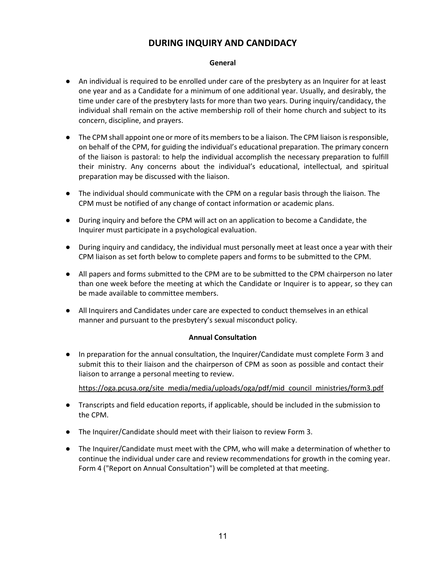# DURING INQUIRY AND CANDIDACY

#### General

- An individual is required to be enrolled under care of the presbytery as an Inquirer for at least one year and as a Candidate for a minimum of one additional year. Usually, and desirably, the time under care of the presbytery lasts for more than two years. During inquiry/candidacy, the individual shall remain on the active membership roll of their home church and subject to its concern, discipline, and prayers.
- The CPM shall appoint one or more of its members to be a liaison. The CPM liaison is responsible, on behalf of the CPM, for guiding the individual's educational preparation. The primary concern of the liaison is pastoral: to help the individual accomplish the necessary preparation to fulfill their ministry. Any concerns about the individual's educational, intellectual, and spiritual preparation may be discussed with the liaison.
- The individual should communicate with the CPM on a regular basis through the liaison. The CPM must be notified of any change of contact information or academic plans.
- During inquiry and before the CPM will act on an application to become a Candidate, the Inquirer must participate in a psychological evaluation.
- During inquiry and candidacy, the individual must personally meet at least once a year with their CPM liaison as set forth below to complete papers and forms to be submitted to the CPM.
- All papers and forms submitted to the CPM are to be submitted to the CPM chairperson no later than one week before the meeting at which the Candidate or Inquirer is to appear, so they can be made available to committee members.
- All Inquirers and Candidates under care are expected to conduct themselves in an ethical manner and pursuant to the presbytery's sexual misconduct policy.

#### Annual Consultation

● In preparation for the annual consultation, the Inquirer/Candidate must complete Form 3 and submit this to their liaison and the chairperson of CPM as soon as possible and contact their liaison to arrange a personal meeting to review.

https://oga.pcusa.org/site\_media/media/uploads/oga/pdf/mid\_council\_ministries/form3.pdf

- Transcripts and field education reports, if applicable, should be included in the submission to the CPM.
- The Inquirer/Candidate should meet with their liaison to review Form 3.
- The Inquirer/Candidate must meet with the CPM, who will make a determination of whether to continue the individual under care and review recommendations for growth in the coming year. Form 4 ("Report on Annual Consultation") will be completed at that meeting.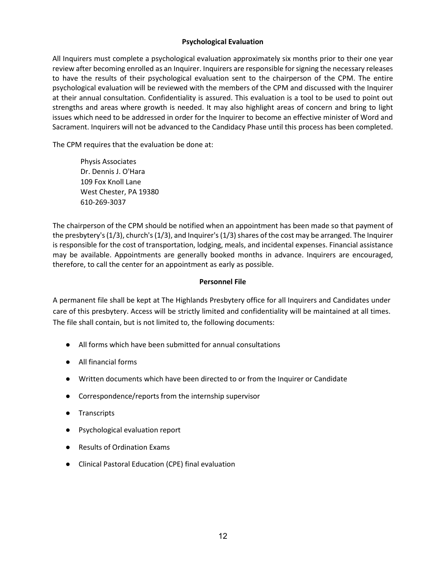#### Psychological Evaluation

All Inquirers must complete a psychological evaluation approximately six months prior to their one year review after becoming enrolled as an Inquirer. Inquirers are responsible for signing the necessary releases to have the results of their psychological evaluation sent to the chairperson of the CPM. The entire psychological evaluation will be reviewed with the members of the CPM and discussed with the Inquirer at their annual consultation. Confidentiality is assured. This evaluation is a tool to be used to point out strengths and areas where growth is needed. It may also highlight areas of concern and bring to light issues which need to be addressed in order for the Inquirer to become an effective minister of Word and Sacrament. Inquirers will not be advanced to the Candidacy Phase until this process has been completed.

The CPM requires that the evaluation be done at:

 Physis Associates Dr. Dennis J. O'Hara 109 Fox Knoll Lane West Chester, PA 19380 610-269-3037

The chairperson of the CPM should be notified when an appointment has been made so that payment of the presbytery's (1/3), church's (1/3), and Inquirer's (1/3) shares of the cost may be arranged. The Inquirer is responsible for the cost of transportation, lodging, meals, and incidental expenses. Financial assistance may be available. Appointments are generally booked months in advance. Inquirers are encouraged, therefore, to call the center for an appointment as early as possible.

#### Personnel File

A permanent file shall be kept at The Highlands Presbytery office for all Inquirers and Candidates under care of this presbytery. Access will be strictly limited and confidentiality will be maintained at all times. The file shall contain, but is not limited to, the following documents:

- All forms which have been submitted for annual consultations
- All financial forms
- Written documents which have been directed to or from the Inquirer or Candidate
- Correspondence/reports from the internship supervisor
- Transcripts
- Psychological evaluation report
- Results of Ordination Exams
- Clinical Pastoral Education (CPE) final evaluation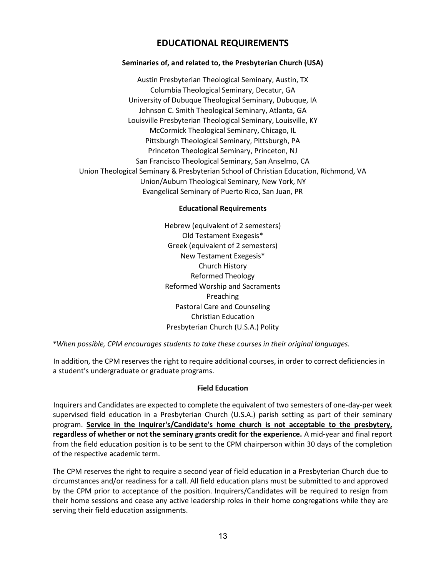# EDUCATIONAL REQUIREMENTS

### Seminaries of, and related to, the Presbyterian Church (USA)

Austin Presbyterian Theological Seminary, Austin, TX Columbia Theological Seminary, Decatur, GA University of Dubuque Theological Seminary, Dubuque, IA Johnson C. Smith Theological Seminary, Atlanta, GA Louisville Presbyterian Theological Seminary, Louisville, KY McCormick Theological Seminary, Chicago, IL Pittsburgh Theological Seminary, Pittsburgh, PA Princeton Theological Seminary, Princeton, NJ San Francisco Theological Seminary, San Anselmo, CA Union Theological Seminary & Presbyterian School of Christian Education, Richmond, VA Union/Auburn Theological Seminary, New York, NY Evangelical Seminary of Puerto Rico, San Juan, PR

#### Educational Requirements

Hebrew (equivalent of 2 semesters) Old Testament Exegesis\* Greek (equivalent of 2 semesters) New Testament Exegesis\* Church History Reformed Theology Reformed Worship and Sacraments Preaching Pastoral Care and Counseling Christian Education Presbyterian Church (U.S.A.) Polity

\*When possible, CPM encourages students to take these courses in their original languages.

In addition, the CPM reserves the right to require additional courses, in order to correct deficiencies in a student's undergraduate or graduate programs.

#### Field Education

Inquirers and Candidates are expected to complete the equivalent of two semesters of one-day-per week supervised field education in a Presbyterian Church (U.S.A.) parish setting as part of their seminary program. Service in the Inquirer's/Candidate's home church is not acceptable to the presbytery, regardless of whether or not the seminary grants credit for the experience. A mid-year and final report from the field education position is to be sent to the CPM chairperson within 30 days of the completion of the respective academic term.

The CPM reserves the right to require a second year of field education in a Presbyterian Church due to circumstances and/or readiness for a call. All field education plans must be submitted to and approved by the CPM prior to acceptance of the position. Inquirers/Candidates will be required to resign from their home sessions and cease any active leadership roles in their home congregations while they are serving their field education assignments.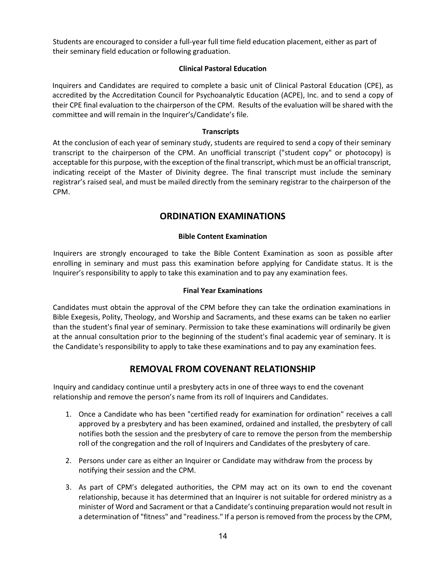Students are encouraged to consider a full-year full time field education placement, either as part of their seminary field education or following graduation.

#### Clinical Pastoral Education

Inquirers and Candidates are required to complete a basic unit of Clinical Pastoral Education (CPE), as accredited by the Accreditation Council for Psychoanalytic Education (ACPE), Inc. and to send a copy of their CPE final evaluation to the chairperson of the CPM. Results of the evaluation will be shared with the committee and will remain in the Inquirer's/Candidate's file.

#### **Transcripts**

At the conclusion of each year of seminary study, students are required to send a copy of their seminary transcript to the chairperson of the CPM. An unofficial transcript ("student copy" or photocopy) is acceptable for this purpose, with the exception of the final transcript, which must be an official transcript, indicating receipt of the Master of Divinity degree. The final transcript must include the seminary registrar's raised seal, and must be mailed directly from the seminary registrar to the chairperson of the CPM.

# ORDINATION EXAMINATIONS

#### Bible Content Examination

Inquirers are strongly encouraged to take the Bible Content Examination as soon as possible after enrolling in seminary and must pass this examination before applying for Candidate status. It is the Inquirer's responsibility to apply to take this examination and to pay any examination fees.

#### Final Year Examinations

Candidates must obtain the approval of the CPM before they can take the ordination examinations in Bible Exegesis, Polity, Theology, and Worship and Sacraments, and these exams can be taken no earlier than the student's final year of seminary. Permission to take these examinations will ordinarily be given at the annual consultation prior to the beginning of the student's final academic year of seminary. It is the Candidate's responsibility to apply to take these examinations and to pay any examination fees.

# REMOVAL FROM COVENANT RELATIONSHIP

Inquiry and candidacy continue until a presbytery acts in one of three ways to end the covenant relationship and remove the person's name from its roll of Inquirers and Candidates.

- 1. Once a Candidate who has been "certified ready for examination for ordination" receives a call approved by a presbytery and has been examined, ordained and installed, the presbytery of call notifies both the session and the presbytery of care to remove the person from the membership roll of the congregation and the roll of Inquirers and Candidates of the presbytery of care.
- 2. Persons under care as either an Inquirer or Candidate may withdraw from the process by notifying their session and the CPM.
- 3. As part of CPM's delegated authorities, the CPM may act on its own to end the covenant relationship, because it has determined that an Inquirer is not suitable for ordered ministry as a minister of Word and Sacrament or that a Candidate's continuing preparation would not result in a determination of "fitness" and "readiness." If a person is removed from the process by the CPM,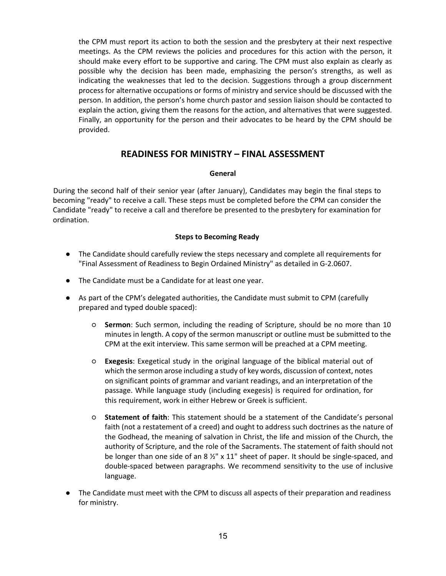the CPM must report its action to both the session and the presbytery at their next respective meetings. As the CPM reviews the policies and procedures for this action with the person, it should make every effort to be supportive and caring. The CPM must also explain as clearly as possible why the decision has been made, emphasizing the person's strengths, as well as indicating the weaknesses that led to the decision. Suggestions through a group discernment process for alternative occupations or forms of ministry and service should be discussed with the person. In addition, the person's home church pastor and session liaison should be contacted to explain the action, giving them the reasons for the action, and alternatives that were suggested. Finally, an opportunity for the person and their advocates to be heard by the CPM should be provided.

# READINESS FOR MINISTRY – FINAL ASSESSMENT

#### General

During the second half of their senior year (after January), Candidates may begin the final steps to becoming "ready" to receive a call. These steps must be completed before the CPM can consider the Candidate "ready" to receive a call and therefore be presented to the presbytery for examination for ordination.

#### Steps to Becoming Ready

- The Candidate should carefully review the steps necessary and complete all requirements for "Final Assessment of Readiness to Begin Ordained Ministry" as detailed in G-2.0607.
- The Candidate must be a Candidate for at least one year.
- As part of the CPM's delegated authorities, the Candidate must submit to CPM (carefully prepared and typed double spaced):
	- Sermon: Such sermon, including the reading of Scripture, should be no more than 10 minutes in length. A copy of the sermon manuscript or outline must be submitted to the CPM at the exit interview. This same sermon will be preached at a CPM meeting.
	- Exegesis: Exegetical study in the original language of the biblical material out of which the sermon arose including a study of key words, discussion of context, notes on significant points of grammar and variant readings, and an interpretation of the passage. While language study (including exegesis) is required for ordination, for this requirement, work in either Hebrew or Greek is sufficient.
	- Statement of faith: This statement should be a statement of the Candidate's personal faith (not a restatement of a creed) and ought to address such doctrines as the nature of the Godhead, the meaning of salvation in Christ, the life and mission of the Church, the authority of Scripture, and the role of the Sacraments. The statement of faith should not be longer than one side of an 8  $\frac{1}{2}$ " x 11" sheet of paper. It should be single-spaced, and double-spaced between paragraphs. We recommend sensitivity to the use of inclusive language.
- The Candidate must meet with the CPM to discuss all aspects of their preparation and readiness for ministry.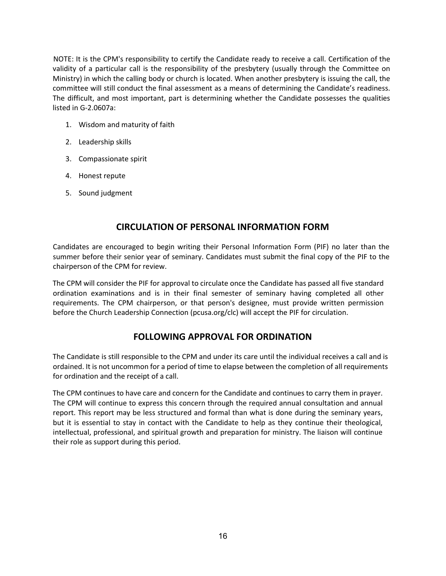NOTE: It is the CPM's responsibility to certify the Candidate ready to receive a call. Certification of the validity of a particular call is the responsibility of the presbytery (usually through the Committee on Ministry) in which the calling body or church is located. When another presbytery is issuing the call, the committee will still conduct the final assessment as a means of determining the Candidate's readiness. The difficult, and most important, part is determining whether the Candidate possesses the qualities listed in G-2.0607a:

- 1. Wisdom and maturity of faith
- 2. Leadership skills
- 3. Compassionate spirit
- 4. Honest repute
- 5. Sound judgment

### CIRCULATION OF PERSONAL INFORMATION FORM

Candidates are encouraged to begin writing their Personal Information Form (PIF) no later than the summer before their senior year of seminary. Candidates must submit the final copy of the PIF to the chairperson of the CPM for review.

The CPM will consider the PIF for approval to circulate once the Candidate has passed all five standard ordination examinations and is in their final semester of seminary having completed all other requirements. The CPM chairperson, or that person's designee, must provide written permission before the Church Leadership Connection (pcusa.org/clc) will accept the PIF for circulation.

# FOLLOWING APPROVAL FOR ORDINATION

The Candidate is still responsible to the CPM and under its care until the individual receives a call and is ordained. It is not uncommon for a period of time to elapse between the completion of all requirements for ordination and the receipt of a call.

The CPM continues to have care and concern for the Candidate and continues to carry them in prayer. The CPM will continue to express this concern through the required annual consultation and annual report. This report may be less structured and formal than what is done during the seminary years, but it is essential to stay in contact with the Candidate to help as they continue their theological, intellectual, professional, and spiritual growth and preparation for ministry. The liaison will continue their role as support during this period.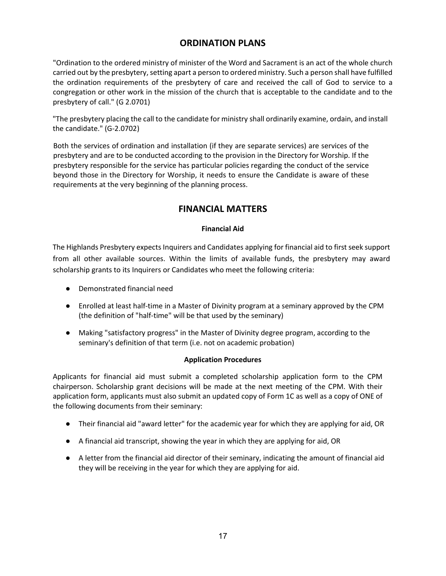# ORDINATION PLANS

"Ordination to the ordered ministry of minister of the Word and Sacrament is an act of the whole church carried out by the presbytery, setting apart a person to ordered ministry. Such a person shall have fulfilled the ordination requirements of the presbytery of care and received the call of God to service to a congregation or other work in the mission of the church that is acceptable to the candidate and to the presbytery of call." (G 2.0701)

"The presbytery placing the call to the candidate for ministry shall ordinarily examine, ordain, and install the candidate." (G-2.0702)

Both the services of ordination and installation (if they are separate services) are services of the presbytery and are to be conducted according to the provision in the Directory for Worship. If the presbytery responsible for the service has particular policies regarding the conduct of the service beyond those in the Directory for Worship, it needs to ensure the Candidate is aware of these requirements at the very beginning of the planning process.

# FINANCIAL MATTERS

### Financial Aid

The Highlands Presbytery expects Inquirers and Candidates applying for financial aid to first seek support from all other available sources. Within the limits of available funds, the presbytery may award scholarship grants to its Inquirers or Candidates who meet the following criteria:

- Demonstrated financial need
- Enrolled at least half-time in a Master of Divinity program at a seminary approved by the CPM (the definition of "half-time" will be that used by the seminary)
- Making "satisfactory progress" in the Master of Divinity degree program, according to the seminary's definition of that term (i.e. not on academic probation)

### Application Procedures

Applicants for financial aid must submit a completed scholarship application form to the CPM chairperson. Scholarship grant decisions will be made at the next meeting of the CPM. With their application form, applicants must also submit an updated copy of Form 1C as well as a copy of ONE of the following documents from their seminary:

- Their financial aid "award letter" for the academic year for which they are applying for aid, OR
- A financial aid transcript, showing the year in which they are applying for aid, OR
- A letter from the financial aid director of their seminary, indicating the amount of financial aid they will be receiving in the year for which they are applying for aid.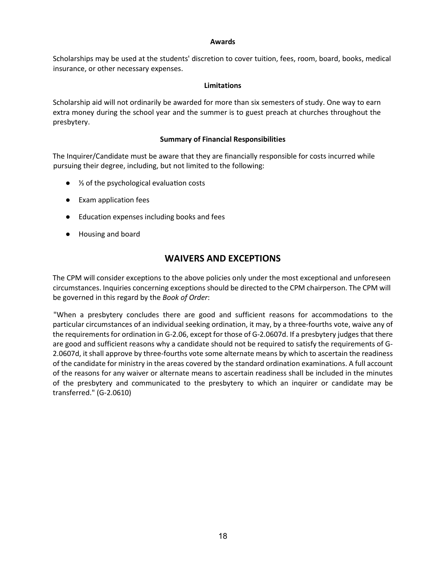#### Awards

Scholarships may be used at the students' discretion to cover tuition, fees, room, board, books, medical insurance, or other necessary expenses.

#### Limitations

Scholarship aid will not ordinarily be awarded for more than six semesters of study. One way to earn extra money during the school year and the summer is to guest preach at churches throughout the presbytery.

#### Summary of Financial Responsibilities

The Inquirer/Candidate must be aware that they are financially responsible for costs incurred while pursuing their degree, including, but not limited to the following:

- <sup>1/3</sup> of the psychological evaluation costs
- Exam application fees
- Education expenses including books and fees
- Housing and board

# WAIVERS AND EXCEPTIONS

The CPM will consider exceptions to the above policies only under the most exceptional and unforeseen circumstances. Inquiries concerning exceptions should be directed to the CPM chairperson. The CPM will be governed in this regard by the Book of Order:

"When a presbytery concludes there are good and sufficient reasons for accommodations to the particular circumstances of an individual seeking ordination, it may, by a three-fourths vote, waive any of the requirements for ordination in G-2.06, except for those of G-2.0607d. If a presbytery judges that there are good and sufficient reasons why a candidate should not be required to satisfy the requirements of G-2.0607d, it shall approve by three-fourths vote some alternate means by which to ascertain the readiness of the candidate for ministry in the areas covered by the standard ordination examinations. A full account of the reasons for any waiver or alternate means to ascertain readiness shall be included in the minutes of the presbytery and communicated to the presbytery to which an inquirer or candidate may be transferred." (G-2.0610)